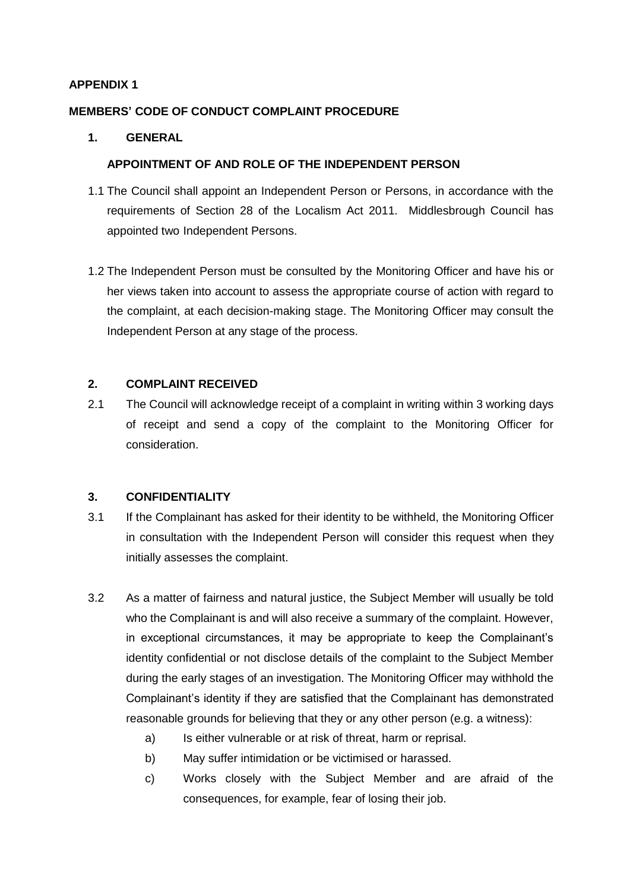#### **MEMBERS' CODE OF CONDUCT COMPLAINT PROCEDURE**

#### **1. GENERAL**

#### **APPOINTMENT OF AND ROLE OF THE INDEPENDENT PERSON**

- 1.1 The Council shall appoint an Independent Person or Persons, in accordance with the requirements of Section 28 of the Localism Act 2011. Middlesbrough Council has appointed two Independent Persons.
- 1.2 The Independent Person must be consulted by the Monitoring Officer and have his or her views taken into account to assess the appropriate course of action with regard to the complaint, at each decision-making stage. The Monitoring Officer may consult the Independent Person at any stage of the process.

## **2. COMPLAINT RECEIVED**

2.1 The Council will acknowledge receipt of a complaint in writing within 3 working days of receipt and send a copy of the complaint to the Monitoring Officer for consideration.

#### **3. CONFIDENTIALITY**

- 3.1 If the Complainant has asked for their identity to be withheld, the Monitoring Officer in consultation with the Independent Person will consider this request when they initially assesses the complaint.
- 3.2 As a matter of fairness and natural justice, the Subject Member will usually be told who the Complainant is and will also receive a summary of the complaint. However, in exceptional circumstances, it may be appropriate to keep the Complainant's identity confidential or not disclose details of the complaint to the Subject Member during the early stages of an investigation. The Monitoring Officer may withhold the Complainant's identity if they are satisfied that the Complainant has demonstrated reasonable grounds for believing that they or any other person (e.g. a witness):
	- a) Is either vulnerable or at risk of threat, harm or reprisal.
	- b) May suffer intimidation or be victimised or harassed.
	- c) Works closely with the Subject Member and are afraid of the consequences, for example, fear of losing their job.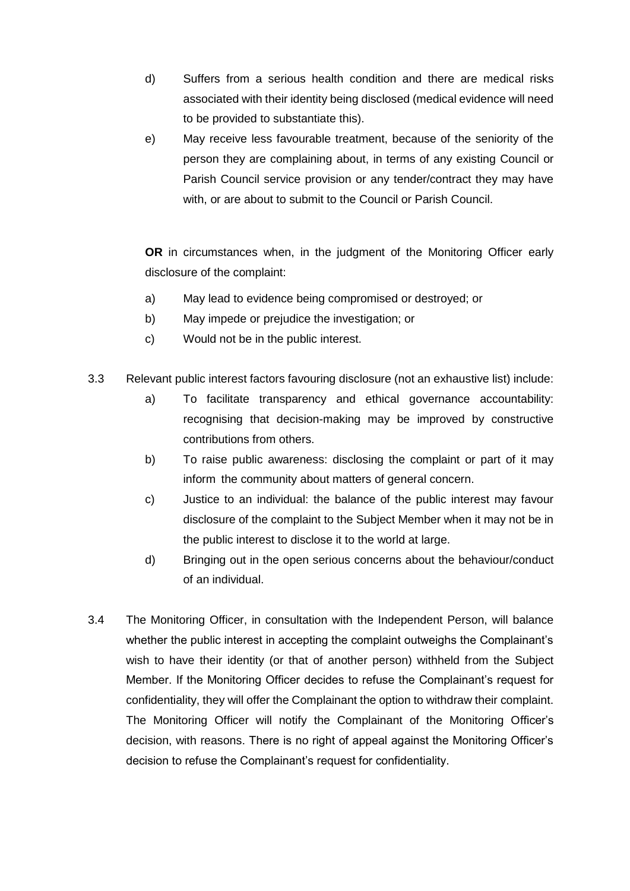- d) Suffers from a serious health condition and there are medical risks associated with their identity being disclosed (medical evidence will need to be provided to substantiate this).
- e) May receive less favourable treatment, because of the seniority of the person they are complaining about, in terms of any existing Council or Parish Council service provision or any tender/contract they may have with, or are about to submit to the Council or Parish Council.

**OR** in circumstances when, in the judgment of the Monitoring Officer early disclosure of the complaint:

- a) May lead to evidence being compromised or destroyed; or
- b) May impede or prejudice the investigation; or
- c) Would not be in the public interest.
- 3.3 Relevant public interest factors favouring disclosure (not an exhaustive list) include:
	- a) To facilitate transparency and ethical governance accountability: recognising that decision-making may be improved by constructive contributions from others.
	- b) To raise public awareness: disclosing the complaint or part of it may inform the community about matters of general concern.
	- c) Justice to an individual: the balance of the public interest may favour disclosure of the complaint to the Subject Member when it may not be in the public interest to disclose it to the world at large.
	- d) Bringing out in the open serious concerns about the behaviour/conduct of an individual.
- 3.4 The Monitoring Officer, in consultation with the Independent Person, will balance whether the public interest in accepting the complaint outweighs the Complainant's wish to have their identity (or that of another person) withheld from the Subject Member. If the Monitoring Officer decides to refuse the Complainant's request for confidentiality, they will offer the Complainant the option to withdraw their complaint. The Monitoring Officer will notify the Complainant of the Monitoring Officer's decision, with reasons. There is no right of appeal against the Monitoring Officer's decision to refuse the Complainant's request for confidentiality.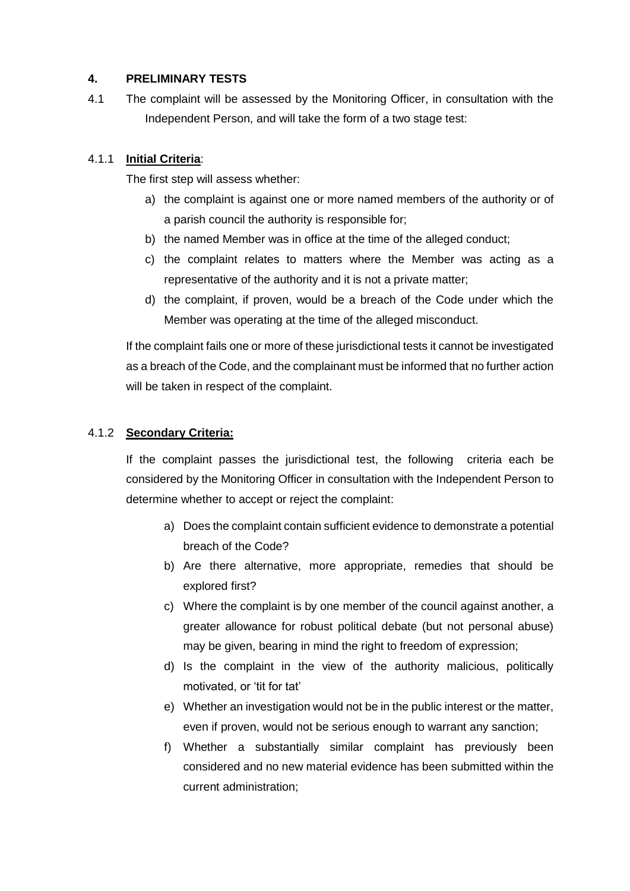# **4. PRELIMINARY TESTS**

4.1 The complaint will be assessed by the Monitoring Officer, in consultation with the Independent Person, and will take the form of a two stage test:

# 4.1.1 **Initial Criteria**:

The first step will assess whether:

- a) the complaint is against one or more named members of the authority or of a parish council the authority is responsible for;
- b) the named Member was in office at the time of the alleged conduct;
- c) the complaint relates to matters where the Member was acting as a representative of the authority and it is not a private matter;
- d) the complaint, if proven, would be a breach of the Code under which the Member was operating at the time of the alleged misconduct.

If the complaint fails one or more of these jurisdictional tests it cannot be investigated as a breach of the Code, and the complainant must be informed that no further action will be taken in respect of the complaint.

## 4.1.2 **Secondary Criteria:**

If the complaint passes the jurisdictional test, the following criteria each be considered by the Monitoring Officer in consultation with the Independent Person to determine whether to accept or reject the complaint:

- a) Does the complaint contain sufficient evidence to demonstrate a potential breach of the Code?
- b) Are there alternative, more appropriate, remedies that should be explored first?
- c) Where the complaint is by one member of the council against another, a greater allowance for robust political debate (but not personal abuse) may be given, bearing in mind the right to freedom of expression;
- d) Is the complaint in the view of the authority malicious, politically motivated, or 'tit for tat'
- e) Whether an investigation would not be in the public interest or the matter, even if proven, would not be serious enough to warrant any sanction;
- f) Whether a substantially similar complaint has previously been considered and no new material evidence has been submitted within the current administration;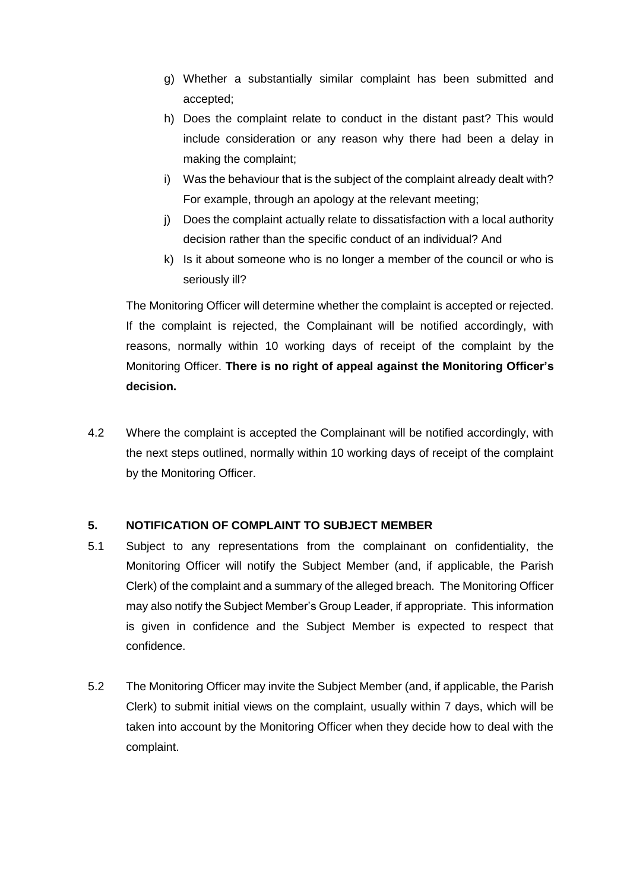- g) Whether a substantially similar complaint has been submitted and accepted;
- h) Does the complaint relate to conduct in the distant past? This would include consideration or any reason why there had been a delay in making the complaint;
- i) Was the behaviour that is the subject of the complaint already dealt with? For example, through an apology at the relevant meeting;
- j) Does the complaint actually relate to dissatisfaction with a local authority decision rather than the specific conduct of an individual? And
- k) Is it about someone who is no longer a member of the council or who is seriously ill?

The Monitoring Officer will determine whether the complaint is accepted or rejected. If the complaint is rejected, the Complainant will be notified accordingly, with reasons, normally within 10 working days of receipt of the complaint by the Monitoring Officer. **There is no right of appeal against the Monitoring Officer's decision.**

4.2 Where the complaint is accepted the Complainant will be notified accordingly, with the next steps outlined, normally within 10 working days of receipt of the complaint by the Monitoring Officer.

# **5. NOTIFICATION OF COMPLAINT TO SUBJECT MEMBER**

- 5.1 Subject to any representations from the complainant on confidentiality, the Monitoring Officer will notify the Subject Member (and, if applicable, the Parish Clerk) of the complaint and a summary of the alleged breach. The Monitoring Officer may also notify the Subject Member's Group Leader, if appropriate. This information is given in confidence and the Subject Member is expected to respect that confidence.
- 5.2 The Monitoring Officer may invite the Subject Member (and, if applicable, the Parish Clerk) to submit initial views on the complaint, usually within 7 days, which will be taken into account by the Monitoring Officer when they decide how to deal with the complaint.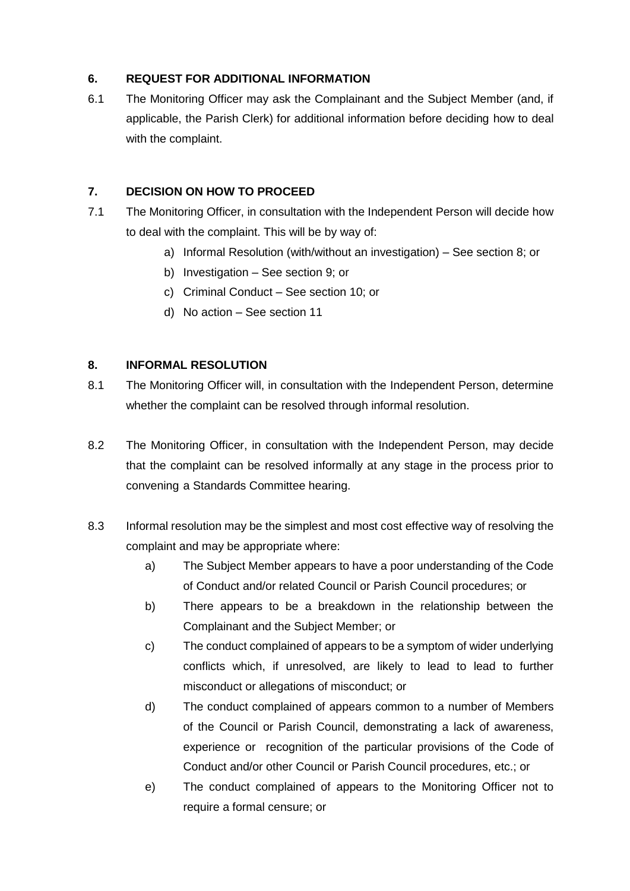# **6. REQUEST FOR ADDITIONAL INFORMATION**

6.1 The Monitoring Officer may ask the Complainant and the Subject Member (and, if applicable, the Parish Clerk) for additional information before deciding how to deal with the complaint.

# **7. DECISION ON HOW TO PROCEED**

- 7.1 The Monitoring Officer, in consultation with the Independent Person will decide how to deal with the complaint. This will be by way of:
	- a) Informal Resolution (with/without an investigation) See section 8; or
	- b) Investigation See section 9; or
	- c) Criminal Conduct See section 10; or
	- d) No action See section 11

# **8. INFORMAL RESOLUTION**

- 8.1 The Monitoring Officer will, in consultation with the Independent Person, determine whether the complaint can be resolved through informal resolution.
- 8.2 The Monitoring Officer, in consultation with the Independent Person, may decide that the complaint can be resolved informally at any stage in the process prior to convening a Standards Committee hearing.
- 8.3 Informal resolution may be the simplest and most cost effective way of resolving the complaint and may be appropriate where:
	- a) The Subject Member appears to have a poor understanding of the Code of Conduct and/or related Council or Parish Council procedures; or
	- b) There appears to be a breakdown in the relationship between the Complainant and the Subject Member; or
	- c) The conduct complained of appears to be a symptom of wider underlying conflicts which, if unresolved, are likely to lead to lead to further misconduct or allegations of misconduct; or
	- d) The conduct complained of appears common to a number of Members of the Council or Parish Council, demonstrating a lack of awareness, experience or recognition of the particular provisions of the Code of Conduct and/or other Council or Parish Council procedures, etc.; or
	- e) The conduct complained of appears to the Monitoring Officer not to require a formal censure; or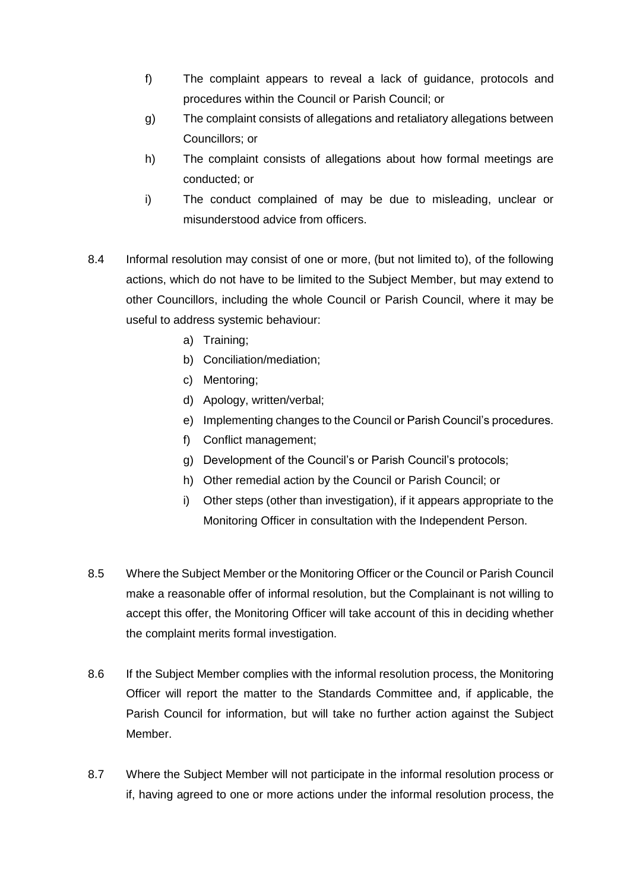- f) The complaint appears to reveal a lack of guidance, protocols and procedures within the Council or Parish Council; or
- g) The complaint consists of allegations and retaliatory allegations between Councillors; or
- h) The complaint consists of allegations about how formal meetings are conducted; or
- i) The conduct complained of may be due to misleading, unclear or misunderstood advice from officers.
- 8.4 Informal resolution may consist of one or more, (but not limited to), of the following actions, which do not have to be limited to the Subject Member, but may extend to other Councillors, including the whole Council or Parish Council, where it may be useful to address systemic behaviour:
	- a) Training;
	- b) Conciliation/mediation;
	- c) Mentoring;
	- d) Apology, written/verbal;
	- e) Implementing changes to the Council or Parish Council's procedures.
	- f) Conflict management;
	- g) Development of the Council's or Parish Council's protocols;
	- h) Other remedial action by the Council or Parish Council; or
	- i) Other steps (other than investigation), if it appears appropriate to the Monitoring Officer in consultation with the Independent Person.
- 8.5 Where the Subject Member or the Monitoring Officer or the Council or Parish Council make a reasonable offer of informal resolution, but the Complainant is not willing to accept this offer, the Monitoring Officer will take account of this in deciding whether the complaint merits formal investigation.
- 8.6 If the Subject Member complies with the informal resolution process, the Monitoring Officer will report the matter to the Standards Committee and, if applicable, the Parish Council for information, but will take no further action against the Subject Member.
- 8.7 Where the Subject Member will not participate in the informal resolution process or if, having agreed to one or more actions under the informal resolution process, the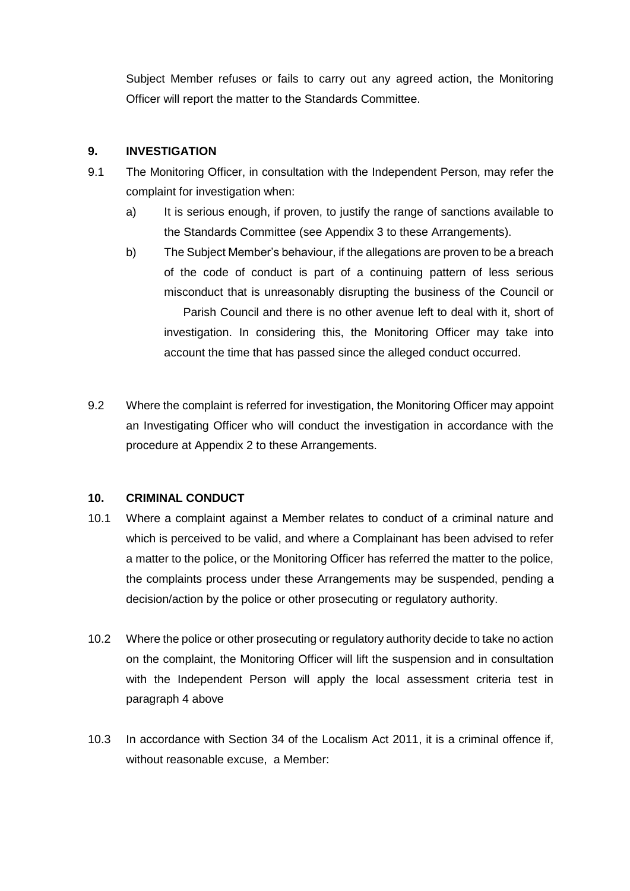Subject Member refuses or fails to carry out any agreed action, the Monitoring Officer will report the matter to the Standards Committee.

# **9. INVESTIGATION**

- 9.1 The Monitoring Officer, in consultation with the Independent Person, may refer the complaint for investigation when:
	- a) It is serious enough, if proven, to justify the range of sanctions available to the Standards Committee (see Appendix 3 to these Arrangements).
	- b) The Subject Member's behaviour, if the allegations are proven to be a breach of the code of conduct is part of a continuing pattern of less serious misconduct that is unreasonably disrupting the business of the Council or Parish Council and there is no other avenue left to deal with it, short of investigation. In considering this, the Monitoring Officer may take into account the time that has passed since the alleged conduct occurred.
- 9.2 Where the complaint is referred for investigation, the Monitoring Officer may appoint an Investigating Officer who will conduct the investigation in accordance with the procedure at Appendix 2 to these Arrangements.

#### **10. CRIMINAL CONDUCT**

- 10.1 Where a complaint against a Member relates to conduct of a criminal nature and which is perceived to be valid, and where a Complainant has been advised to refer a matter to the police, or the Monitoring Officer has referred the matter to the police, the complaints process under these Arrangements may be suspended, pending a decision/action by the police or other prosecuting or regulatory authority.
- 10.2 Where the police or other prosecuting or regulatory authority decide to take no action on the complaint, the Monitoring Officer will lift the suspension and in consultation with the Independent Person will apply the local assessment criteria test in paragraph 4 above
- 10.3 In accordance with Section 34 of the Localism Act 2011, it is a criminal offence if, without reasonable excuse, a Member: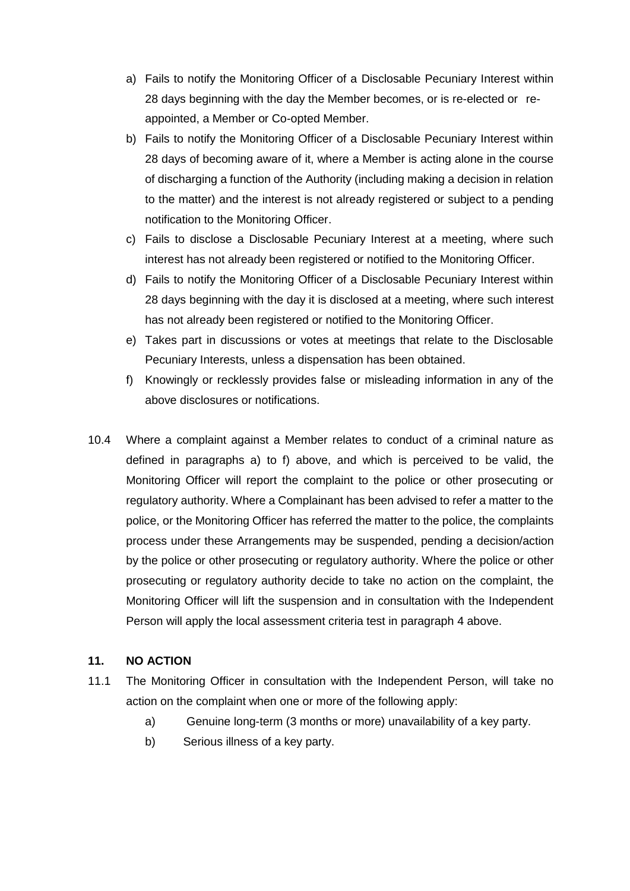- a) Fails to notify the Monitoring Officer of a Disclosable Pecuniary Interest within 28 days beginning with the day the Member becomes, or is re-elected or reappointed, a Member or Co-opted Member.
- b) Fails to notify the Monitoring Officer of a Disclosable Pecuniary Interest within 28 days of becoming aware of it, where a Member is acting alone in the course of discharging a function of the Authority (including making a decision in relation to the matter) and the interest is not already registered or subject to a pending notification to the Monitoring Officer.
- c) Fails to disclose a Disclosable Pecuniary Interest at a meeting, where such interest has not already been registered or notified to the Monitoring Officer.
- d) Fails to notify the Monitoring Officer of a Disclosable Pecuniary Interest within 28 days beginning with the day it is disclosed at a meeting, where such interest has not already been registered or notified to the Monitoring Officer.
- e) Takes part in discussions or votes at meetings that relate to the Disclosable Pecuniary Interests, unless a dispensation has been obtained.
- f) Knowingly or recklessly provides false or misleading information in any of the above disclosures or notifications.
- 10.4 Where a complaint against a Member relates to conduct of a criminal nature as defined in paragraphs a) to f) above, and which is perceived to be valid, the Monitoring Officer will report the complaint to the police or other prosecuting or regulatory authority. Where a Complainant has been advised to refer a matter to the police, or the Monitoring Officer has referred the matter to the police, the complaints process under these Arrangements may be suspended, pending a decision/action by the police or other prosecuting or regulatory authority. Where the police or other prosecuting or regulatory authority decide to take no action on the complaint, the Monitoring Officer will lift the suspension and in consultation with the Independent Person will apply the local assessment criteria test in paragraph 4 above.

#### **11. NO ACTION**

- 11.1 The Monitoring Officer in consultation with the Independent Person, will take no action on the complaint when one or more of the following apply:
	- a) Genuine long-term (3 months or more) unavailability of a key party.
	- b) Serious illness of a key party.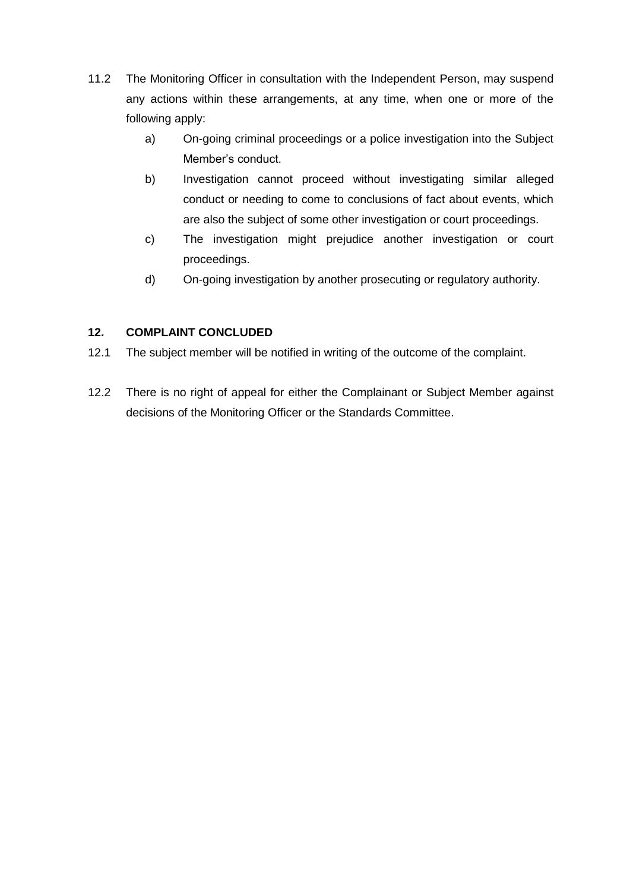- 11.2 The Monitoring Officer in consultation with the Independent Person, may suspend any actions within these arrangements, at any time, when one or more of the following apply:
	- a) On-going criminal proceedings or a police investigation into the Subject Member's conduct.
	- b) Investigation cannot proceed without investigating similar alleged conduct or needing to come to conclusions of fact about events, which are also the subject of some other investigation or court proceedings.
	- c) The investigation might prejudice another investigation or court proceedings.
	- d) On-going investigation by another prosecuting or regulatory authority.

# **12. COMPLAINT CONCLUDED**

- 12.1 The subject member will be notified in writing of the outcome of the complaint.
- 12.2 There is no right of appeal for either the Complainant or Subject Member against decisions of the Monitoring Officer or the Standards Committee.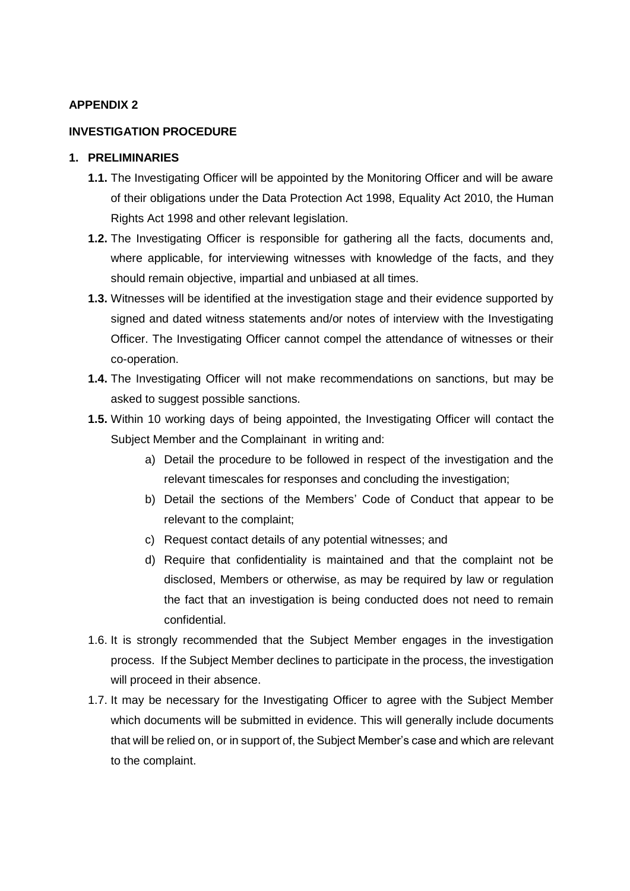#### **INVESTIGATION PROCEDURE**

#### **1. PRELIMINARIES**

- **1.1.** The Investigating Officer will be appointed by the Monitoring Officer and will be aware of their obligations under the Data Protection Act 1998, Equality Act 2010, the Human Rights Act 1998 and other relevant legislation.
- **1.2.** The Investigating Officer is responsible for gathering all the facts, documents and, where applicable, for interviewing witnesses with knowledge of the facts, and they should remain objective, impartial and unbiased at all times.
- **1.3.** Witnesses will be identified at the investigation stage and their evidence supported by signed and dated witness statements and/or notes of interview with the Investigating Officer. The Investigating Officer cannot compel the attendance of witnesses or their co-operation.
- **1.4.** The Investigating Officer will not make recommendations on sanctions, but may be asked to suggest possible sanctions.
- **1.5.** Within 10 working days of being appointed, the Investigating Officer will contact the Subject Member and the Complainant in writing and:
	- a) Detail the procedure to be followed in respect of the investigation and the relevant timescales for responses and concluding the investigation;
	- b) Detail the sections of the Members' Code of Conduct that appear to be relevant to the complaint;
	- c) Request contact details of any potential witnesses; and
	- d) Require that confidentiality is maintained and that the complaint not be disclosed, Members or otherwise, as may be required by law or regulation the fact that an investigation is being conducted does not need to remain confidential.
- 1.6. It is strongly recommended that the Subject Member engages in the investigation process. If the Subject Member declines to participate in the process, the investigation will proceed in their absence.
- 1.7. It may be necessary for the Investigating Officer to agree with the Subject Member which documents will be submitted in evidence. This will generally include documents that will be relied on, or in support of, the Subject Member's case and which are relevant to the complaint.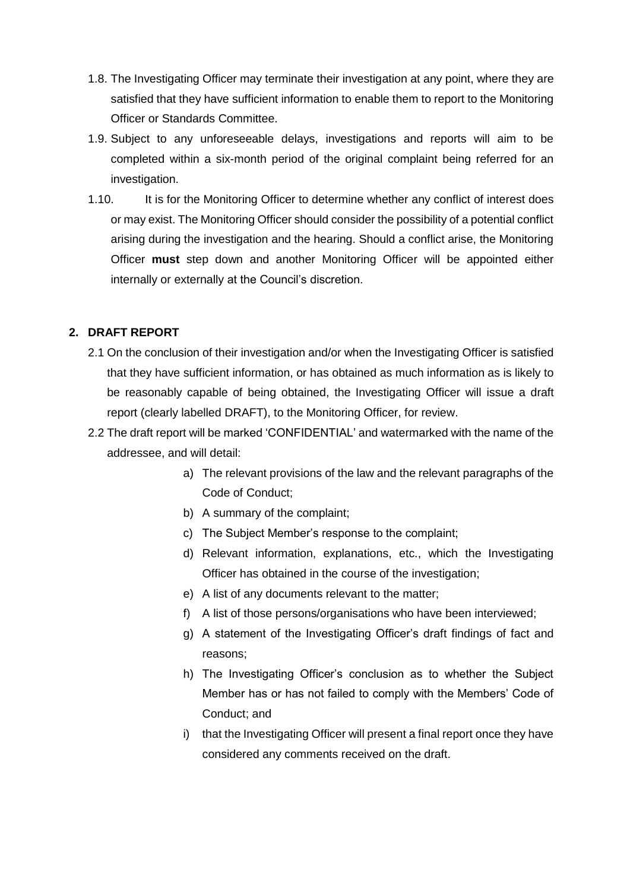- 1.8. The Investigating Officer may terminate their investigation at any point, where they are satisfied that they have sufficient information to enable them to report to the Monitoring Officer or Standards Committee.
- 1.9. Subject to any unforeseeable delays, investigations and reports will aim to be completed within a six-month period of the original complaint being referred for an investigation.
- 1.10. It is for the Monitoring Officer to determine whether any conflict of interest does or may exist. The Monitoring Officer should consider the possibility of a potential conflict arising during the investigation and the hearing. Should a conflict arise, the Monitoring Officer **must** step down and another Monitoring Officer will be appointed either internally or externally at the Council's discretion.

## **2. DRAFT REPORT**

- 2.1 On the conclusion of their investigation and/or when the Investigating Officer is satisfied that they have sufficient information, or has obtained as much information as is likely to be reasonably capable of being obtained, the Investigating Officer will issue a draft report (clearly labelled DRAFT), to the Monitoring Officer, for review.
- 2.2 The draft report will be marked 'CONFIDENTIAL' and watermarked with the name of the addressee, and will detail:
	- a) The relevant provisions of the law and the relevant paragraphs of the Code of Conduct;
	- b) A summary of the complaint;
	- c) The Subject Member's response to the complaint;
	- d) Relevant information, explanations, etc., which the Investigating Officer has obtained in the course of the investigation;
	- e) A list of any documents relevant to the matter;
	- f) A list of those persons/organisations who have been interviewed;
	- g) A statement of the Investigating Officer's draft findings of fact and reasons;
	- h) The Investigating Officer's conclusion as to whether the Subject Member has or has not failed to comply with the Members' Code of Conduct; and
	- i) that the Investigating Officer will present a final report once they have considered any comments received on the draft.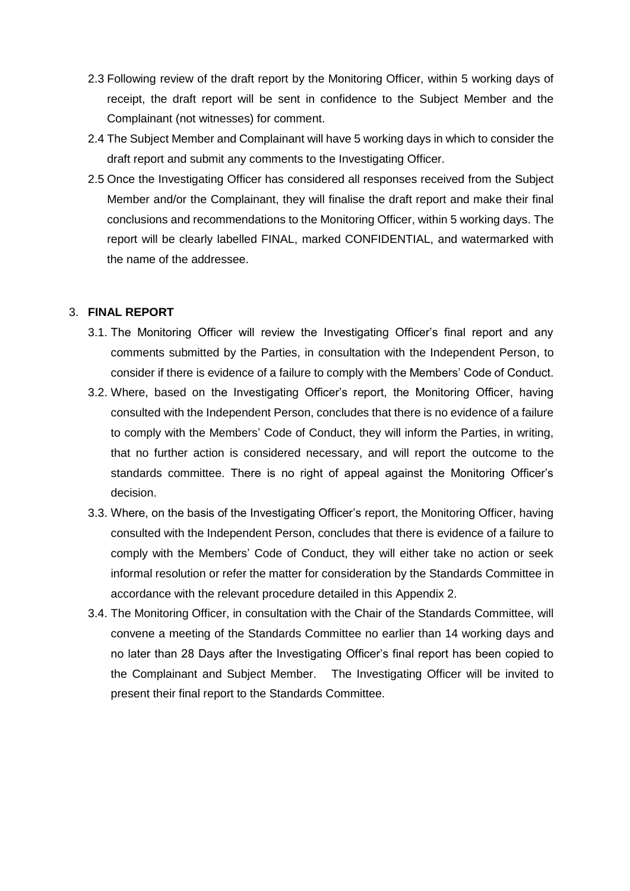- 2.3 Following review of the draft report by the Monitoring Officer, within 5 working days of receipt, the draft report will be sent in confidence to the Subject Member and the Complainant (not witnesses) for comment.
- 2.4 The Subject Member and Complainant will have 5 working days in which to consider the draft report and submit any comments to the Investigating Officer.
- 2.5 Once the Investigating Officer has considered all responses received from the Subject Member and/or the Complainant, they will finalise the draft report and make their final conclusions and recommendations to the Monitoring Officer, within 5 working days. The report will be clearly labelled FINAL, marked CONFIDENTIAL, and watermarked with the name of the addressee.

## 3. **FINAL REPORT**

- 3.1. The Monitoring Officer will review the Investigating Officer's final report and any comments submitted by the Parties, in consultation with the Independent Person, to consider if there is evidence of a failure to comply with the Members' Code of Conduct.
- 3.2. Where, based on the Investigating Officer's report, the Monitoring Officer, having consulted with the Independent Person, concludes that there is no evidence of a failure to comply with the Members' Code of Conduct, they will inform the Parties, in writing, that no further action is considered necessary, and will report the outcome to the standards committee. There is no right of appeal against the Monitoring Officer's decision.
- 3.3. Where, on the basis of the Investigating Officer's report, the Monitoring Officer, having consulted with the Independent Person, concludes that there is evidence of a failure to comply with the Members' Code of Conduct, they will either take no action or seek informal resolution or refer the matter for consideration by the Standards Committee in accordance with the relevant procedure detailed in this Appendix 2.
- 3.4. The Monitoring Officer, in consultation with the Chair of the Standards Committee, will convene a meeting of the Standards Committee no earlier than 14 working days and no later than 28 Days after the Investigating Officer's final report has been copied to the Complainant and Subject Member. The Investigating Officer will be invited to present their final report to the Standards Committee.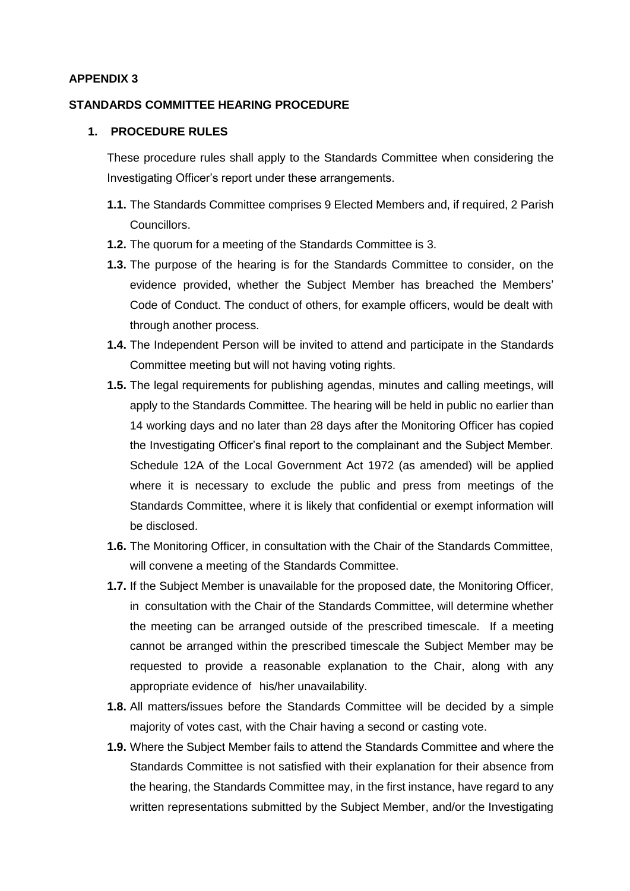# **STANDARDS COMMITTEE HEARING PROCEDURE**

#### **1. PROCEDURE RULES**

These procedure rules shall apply to the Standards Committee when considering the Investigating Officer's report under these arrangements.

- **1.1.** The Standards Committee comprises 9 Elected Members and, if required, 2 Parish Councillors.
- **1.2.** The quorum for a meeting of the Standards Committee is 3.
- **1.3.** The purpose of the hearing is for the Standards Committee to consider, on the evidence provided, whether the Subject Member has breached the Members' Code of Conduct. The conduct of others, for example officers, would be dealt with through another process.
- **1.4.** The Independent Person will be invited to attend and participate in the Standards Committee meeting but will not having voting rights.
- **1.5.** The legal requirements for publishing agendas, minutes and calling meetings, will apply to the Standards Committee. The hearing will be held in public no earlier than 14 working days and no later than 28 days after the Monitoring Officer has copied the Investigating Officer's final report to the complainant and the Subject Member. Schedule 12A of the Local Government Act 1972 (as amended) will be applied where it is necessary to exclude the public and press from meetings of the Standards Committee, where it is likely that confidential or exempt information will be disclosed.
- **1.6.** The Monitoring Officer, in consultation with the Chair of the Standards Committee, will convene a meeting of the Standards Committee.
- **1.7.** If the Subject Member is unavailable for the proposed date, the Monitoring Officer, in consultation with the Chair of the Standards Committee, will determine whether the meeting can be arranged outside of the prescribed timescale. If a meeting cannot be arranged within the prescribed timescale the Subject Member may be requested to provide a reasonable explanation to the Chair, along with any appropriate evidence of his/her unavailability.
- **1.8.** All matters/issues before the Standards Committee will be decided by a simple majority of votes cast, with the Chair having a second or casting vote.
- **1.9.** Where the Subject Member fails to attend the Standards Committee and where the Standards Committee is not satisfied with their explanation for their absence from the hearing, the Standards Committee may, in the first instance, have regard to any written representations submitted by the Subject Member, and/or the Investigating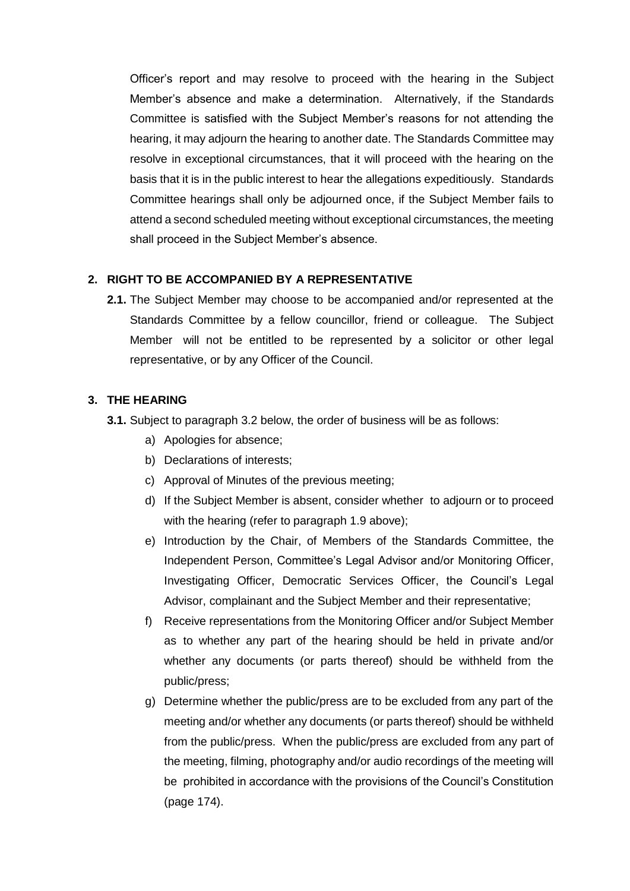Officer's report and may resolve to proceed with the hearing in the Subject Member's absence and make a determination. Alternatively, if the Standards Committee is satisfied with the Subject Member's reasons for not attending the hearing, it may adjourn the hearing to another date. The Standards Committee may resolve in exceptional circumstances, that it will proceed with the hearing on the basis that it is in the public interest to hear the allegations expeditiously. Standards Committee hearings shall only be adjourned once, if the Subject Member fails to attend a second scheduled meeting without exceptional circumstances, the meeting shall proceed in the Subject Member's absence.

## **2. RIGHT TO BE ACCOMPANIED BY A REPRESENTATIVE**

**2.1.** The Subject Member may choose to be accompanied and/or represented at the Standards Committee by a fellow councillor, friend or colleague. The Subject Member will not be entitled to be represented by a solicitor or other legal representative, or by any Officer of the Council.

#### **3. THE HEARING**

- **3.1.** Subject to paragraph 3.2 below, the order of business will be as follows:
	- a) Apologies for absence;
	- b) Declarations of interests;
	- c) Approval of Minutes of the previous meeting;
	- d) If the Subject Member is absent, consider whether to adjourn or to proceed with the hearing (refer to paragraph 1.9 above);
	- e) Introduction by the Chair, of Members of the Standards Committee, the Independent Person, Committee's Legal Advisor and/or Monitoring Officer, Investigating Officer, Democratic Services Officer, the Council's Legal Advisor, complainant and the Subject Member and their representative;
	- f) Receive representations from the Monitoring Officer and/or Subject Member as to whether any part of the hearing should be held in private and/or whether any documents (or parts thereof) should be withheld from the public/press;
	- g) Determine whether the public/press are to be excluded from any part of the meeting and/or whether any documents (or parts thereof) should be withheld from the public/press. When the public/press are excluded from any part of the meeting, filming, photography and/or audio recordings of the meeting will be prohibited in accordance with the provisions of the Council's Constitution (page 174).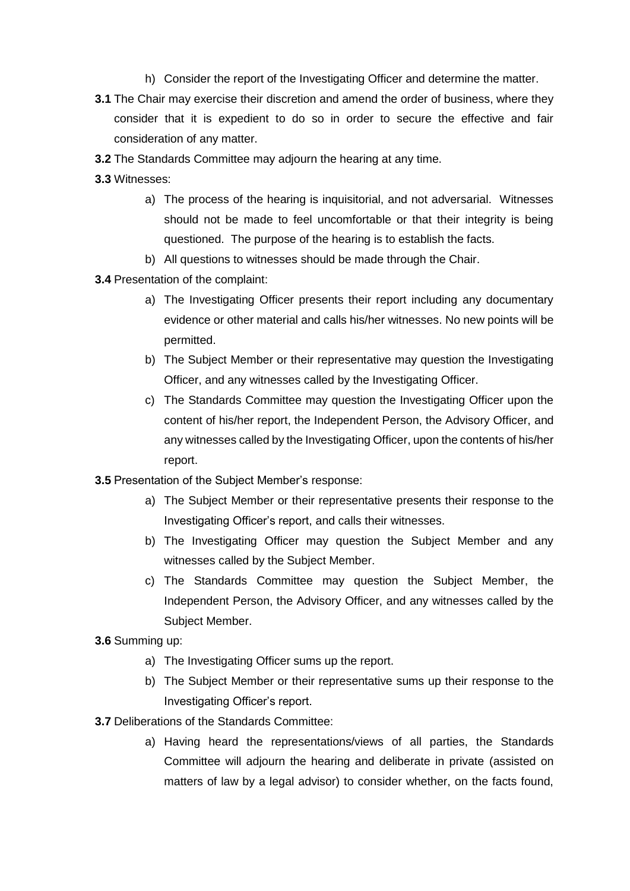- h) Consider the report of the Investigating Officer and determine the matter.
- **3.1** The Chair may exercise their discretion and amend the order of business, where they consider that it is expedient to do so in order to secure the effective and fair consideration of any matter.
- **3.2** The Standards Committee may adjourn the hearing at any time.
- **3.3** Witnesses:
	- a) The process of the hearing is inquisitorial, and not adversarial. Witnesses should not be made to feel uncomfortable or that their integrity is being questioned. The purpose of the hearing is to establish the facts.
	- b) All questions to witnesses should be made through the Chair.
- **3.4** Presentation of the complaint:
	- a) The Investigating Officer presents their report including any documentary evidence or other material and calls his/her witnesses. No new points will be permitted.
	- b) The Subject Member or their representative may question the Investigating Officer, and any witnesses called by the Investigating Officer.
	- c) The Standards Committee may question the Investigating Officer upon the content of his/her report, the Independent Person, the Advisory Officer, and any witnesses called by the Investigating Officer, upon the contents of his/her report.
- **3.5** Presentation of the Subject Member's response:
	- a) The Subject Member or their representative presents their response to the Investigating Officer's report, and calls their witnesses.
	- b) The Investigating Officer may question the Subject Member and any witnesses called by the Subject Member.
	- c) The Standards Committee may question the Subject Member, the Independent Person, the Advisory Officer, and any witnesses called by the Subject Member.
- **3.6** Summing up:
	- a) The Investigating Officer sums up the report.
	- b) The Subject Member or their representative sums up their response to the Investigating Officer's report.
- **3.7** Deliberations of the Standards Committee:
	- a) Having heard the representations/views of all parties, the Standards Committee will adjourn the hearing and deliberate in private (assisted on matters of law by a legal advisor) to consider whether, on the facts found,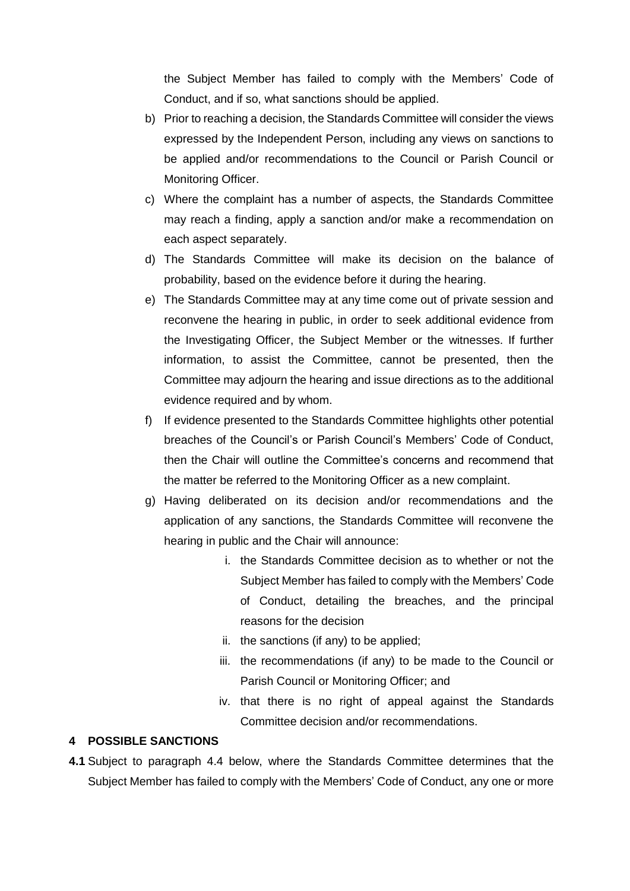the Subject Member has failed to comply with the Members' Code of Conduct, and if so, what sanctions should be applied.

- b) Prior to reaching a decision, the Standards Committee will consider the views expressed by the Independent Person, including any views on sanctions to be applied and/or recommendations to the Council or Parish Council or Monitoring Officer.
- c) Where the complaint has a number of aspects, the Standards Committee may reach a finding, apply a sanction and/or make a recommendation on each aspect separately.
- d) The Standards Committee will make its decision on the balance of probability, based on the evidence before it during the hearing.
- e) The Standards Committee may at any time come out of private session and reconvene the hearing in public, in order to seek additional evidence from the Investigating Officer, the Subject Member or the witnesses. If further information, to assist the Committee, cannot be presented, then the Committee may adjourn the hearing and issue directions as to the additional evidence required and by whom.
- f) If evidence presented to the Standards Committee highlights other potential breaches of the Council's or Parish Council's Members' Code of Conduct, then the Chair will outline the Committee's concerns and recommend that the matter be referred to the Monitoring Officer as a new complaint.
- g) Having deliberated on its decision and/or recommendations and the application of any sanctions, the Standards Committee will reconvene the hearing in public and the Chair will announce:
	- i. the Standards Committee decision as to whether or not the Subject Member has failed to comply with the Members' Code of Conduct, detailing the breaches, and the principal reasons for the decision
	- ii. the sanctions (if any) to be applied;
	- iii. the recommendations (if any) to be made to the Council or Parish Council or Monitoring Officer; and
	- iv. that there is no right of appeal against the Standards Committee decision and/or recommendations.

## **4 POSSIBLE SANCTIONS**

**4.1** Subject to paragraph 4.4 below, where the Standards Committee determines that the Subject Member has failed to comply with the Members' Code of Conduct, any one or more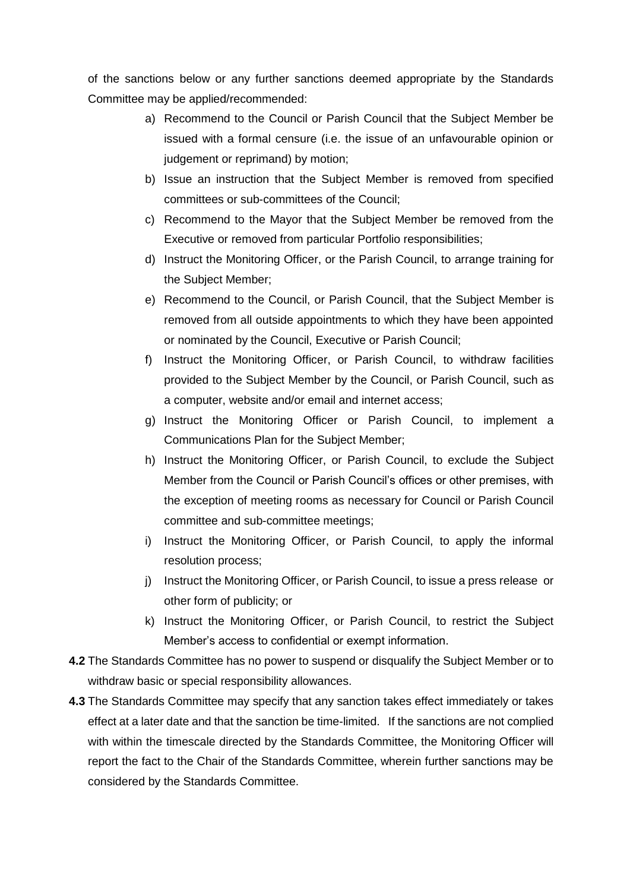of the sanctions below or any further sanctions deemed appropriate by the Standards Committee may be applied/recommended:

- a) Recommend to the Council or Parish Council that the Subject Member be issued with a formal censure (i.e. the issue of an unfavourable opinion or judgement or reprimand) by motion;
- b) Issue an instruction that the Subject Member is removed from specified committees or sub-committees of the Council;
- c) Recommend to the Mayor that the Subject Member be removed from the Executive or removed from particular Portfolio responsibilities;
- d) Instruct the Monitoring Officer, or the Parish Council, to arrange training for the Subject Member;
- e) Recommend to the Council, or Parish Council, that the Subject Member is removed from all outside appointments to which they have been appointed or nominated by the Council, Executive or Parish Council;
- f) Instruct the Monitoring Officer, or Parish Council, to withdraw facilities provided to the Subject Member by the Council, or Parish Council, such as a computer, website and/or email and internet access;
- g) Instruct the Monitoring Officer or Parish Council, to implement a Communications Plan for the Subject Member;
- h) Instruct the Monitoring Officer, or Parish Council, to exclude the Subject Member from the Council or Parish Council's offices or other premises, with the exception of meeting rooms as necessary for Council or Parish Council committee and sub-committee meetings;
- i) Instruct the Monitoring Officer, or Parish Council, to apply the informal resolution process;
- j) Instruct the Monitoring Officer, or Parish Council, to issue a press release or other form of publicity; or
- k) Instruct the Monitoring Officer, or Parish Council, to restrict the Subject Member's access to confidential or exempt information.
- **4.2** The Standards Committee has no power to suspend or disqualify the Subject Member or to withdraw basic or special responsibility allowances.
- **4.3** The Standards Committee may specify that any sanction takes effect immediately or takes effect at a later date and that the sanction be time-limited. If the sanctions are not complied with within the timescale directed by the Standards Committee, the Monitoring Officer will report the fact to the Chair of the Standards Committee, wherein further sanctions may be considered by the Standards Committee.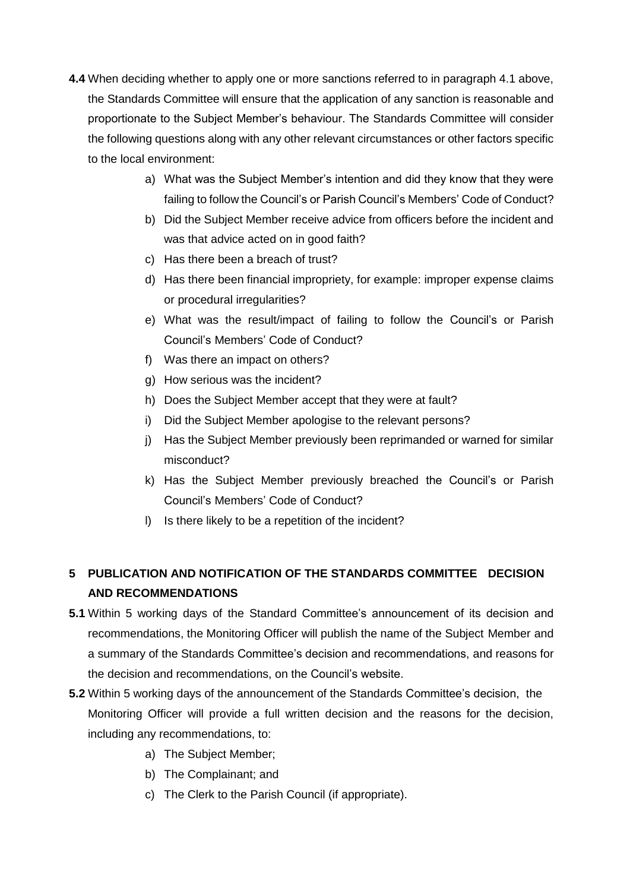- **4.4** When deciding whether to apply one or more sanctions referred to in paragraph 4.1 above, the Standards Committee will ensure that the application of any sanction is reasonable and proportionate to the Subject Member's behaviour. The Standards Committee will consider the following questions along with any other relevant circumstances or other factors specific to the local environment:
	- a) What was the Subject Member's intention and did they know that they were failing to follow the Council's or Parish Council's Members' Code of Conduct?
	- b) Did the Subject Member receive advice from officers before the incident and was that advice acted on in good faith?
	- c) Has there been a breach of trust?
	- d) Has there been financial impropriety, for example: improper expense claims or procedural irregularities?
	- e) What was the result/impact of failing to follow the Council's or Parish Council's Members' Code of Conduct?
	- f) Was there an impact on others?
	- g) How serious was the incident?
	- h) Does the Subject Member accept that they were at fault?
	- i) Did the Subject Member apologise to the relevant persons?
	- j) Has the Subject Member previously been reprimanded or warned for similar misconduct?
	- k) Has the Subject Member previously breached the Council's or Parish Council's Members' Code of Conduct?
	- l) Is there likely to be a repetition of the incident?

# **5 PUBLICATION AND NOTIFICATION OF THE STANDARDS COMMITTEE DECISION AND RECOMMENDATIONS**

- **5.1** Within 5 working days of the Standard Committee's announcement of its decision and recommendations, the Monitoring Officer will publish the name of the Subject Member and a summary of the Standards Committee's decision and recommendations, and reasons for the decision and recommendations, on the Council's website.
- **5.2** Within 5 working days of the announcement of the Standards Committee's decision, the Monitoring Officer will provide a full written decision and the reasons for the decision, including any recommendations, to:
	- a) The Subject Member;
	- b) The Complainant; and
	- c) The Clerk to the Parish Council (if appropriate).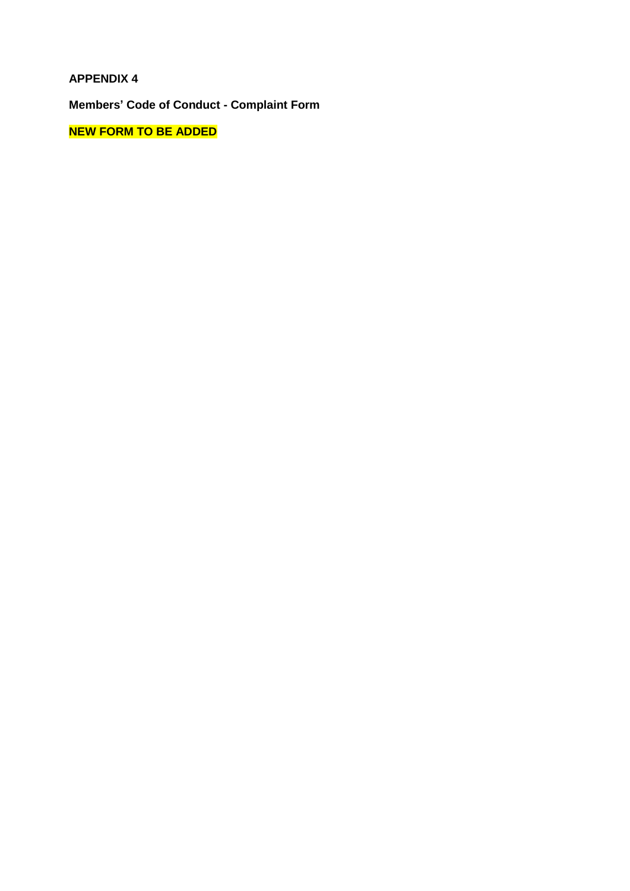**Members' Code of Conduct - Complaint Form**

**NEW FORM TO BE ADDED**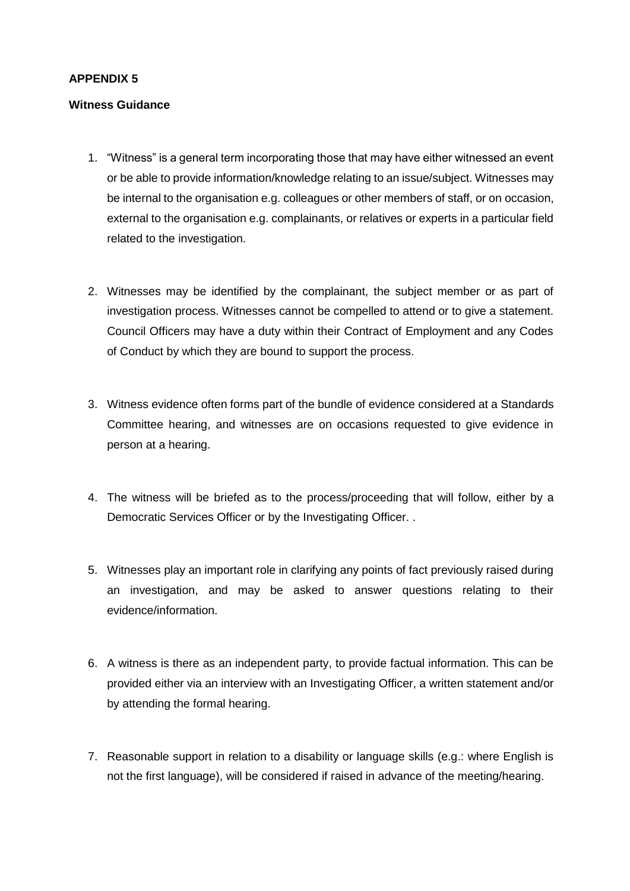#### **Witness Guidance**

- 1. "Witness" is a general term incorporating those that may have either witnessed an event or be able to provide information/knowledge relating to an issue/subject. Witnesses may be internal to the organisation e.g. colleagues or other members of staff, or on occasion, external to the organisation e.g. complainants, or relatives or experts in a particular field related to the investigation.
- 2. Witnesses may be identified by the complainant, the subject member or as part of investigation process. Witnesses cannot be compelled to attend or to give a statement. Council Officers may have a duty within their Contract of Employment and any Codes of Conduct by which they are bound to support the process.
- 3. Witness evidence often forms part of the bundle of evidence considered at a Standards Committee hearing, and witnesses are on occasions requested to give evidence in person at a hearing.
- 4. The witness will be briefed as to the process/proceeding that will follow, either by a Democratic Services Officer or by the Investigating Officer. .
- 5. Witnesses play an important role in clarifying any points of fact previously raised during an investigation, and may be asked to answer questions relating to their evidence/information.
- 6. A witness is there as an independent party, to provide factual information. This can be provided either via an interview with an Investigating Officer, a written statement and/or by attending the formal hearing.
- 7. Reasonable support in relation to a disability or language skills (e.g.: where English is not the first language), will be considered if raised in advance of the meeting/hearing.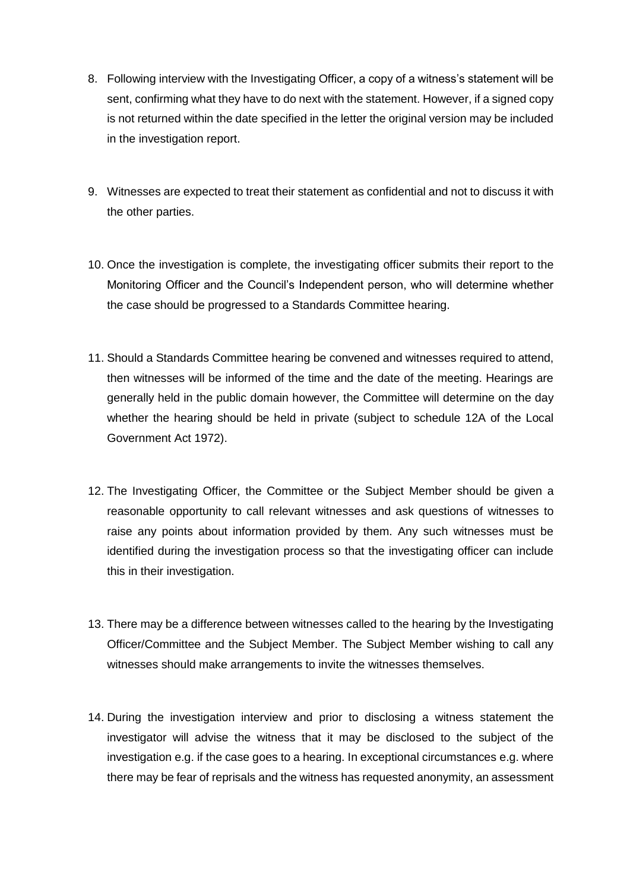- 8. Following interview with the Investigating Officer, a copy of a witness's statement will be sent, confirming what they have to do next with the statement. However, if a signed copy is not returned within the date specified in the letter the original version may be included in the investigation report.
- 9. Witnesses are expected to treat their statement as confidential and not to discuss it with the other parties.
- 10. Once the investigation is complete, the investigating officer submits their report to the Monitoring Officer and the Council's Independent person, who will determine whether the case should be progressed to a Standards Committee hearing.
- 11. Should a Standards Committee hearing be convened and witnesses required to attend, then witnesses will be informed of the time and the date of the meeting. Hearings are generally held in the public domain however, the Committee will determine on the day whether the hearing should be held in private (subject to schedule 12A of the Local Government Act 1972).
- 12. The Investigating Officer, the Committee or the Subject Member should be given a reasonable opportunity to call relevant witnesses and ask questions of witnesses to raise any points about information provided by them. Any such witnesses must be identified during the investigation process so that the investigating officer can include this in their investigation.
- 13. There may be a difference between witnesses called to the hearing by the Investigating Officer/Committee and the Subject Member. The Subject Member wishing to call any witnesses should make arrangements to invite the witnesses themselves.
- 14. During the investigation interview and prior to disclosing a witness statement the investigator will advise the witness that it may be disclosed to the subject of the investigation e.g. if the case goes to a hearing. In exceptional circumstances e.g. where there may be fear of reprisals and the witness has requested anonymity, an assessment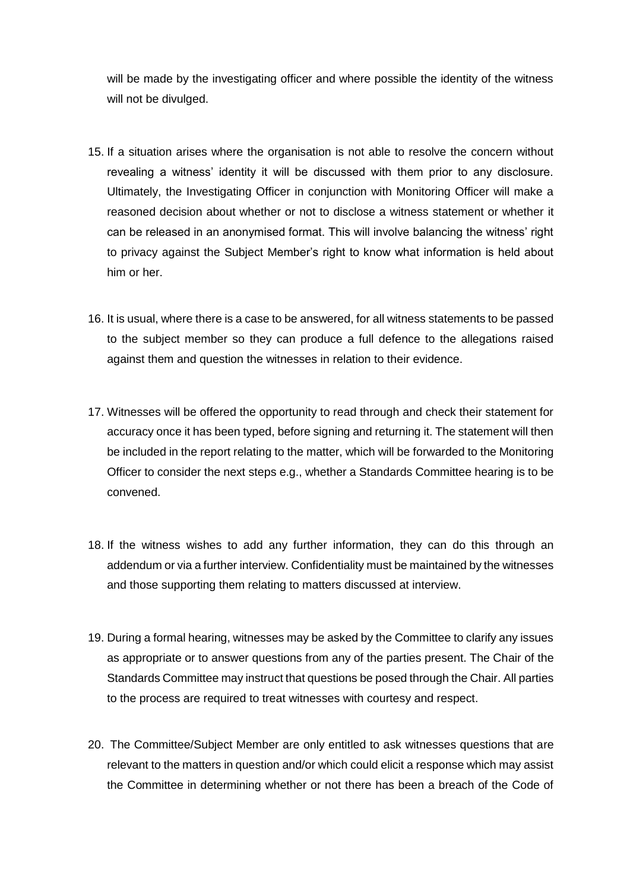will be made by the investigating officer and where possible the identity of the witness will not be divulged.

- 15. If a situation arises where the organisation is not able to resolve the concern without revealing a witness' identity it will be discussed with them prior to any disclosure. Ultimately, the Investigating Officer in conjunction with Monitoring Officer will make a reasoned decision about whether or not to disclose a witness statement or whether it can be released in an anonymised format. This will involve balancing the witness' right to privacy against the Subject Member's right to know what information is held about him or her.
- 16. It is usual, where there is a case to be answered, for all witness statements to be passed to the subject member so they can produce a full defence to the allegations raised against them and question the witnesses in relation to their evidence.
- 17. Witnesses will be offered the opportunity to read through and check their statement for accuracy once it has been typed, before signing and returning it. The statement will then be included in the report relating to the matter, which will be forwarded to the Monitoring Officer to consider the next steps e.g., whether a Standards Committee hearing is to be convened.
- 18. If the witness wishes to add any further information, they can do this through an addendum or via a further interview. Confidentiality must be maintained by the witnesses and those supporting them relating to matters discussed at interview.
- 19. During a formal hearing, witnesses may be asked by the Committee to clarify any issues as appropriate or to answer questions from any of the parties present. The Chair of the Standards Committee may instruct that questions be posed through the Chair. All parties to the process are required to treat witnesses with courtesy and respect.
- 20. The Committee/Subject Member are only entitled to ask witnesses questions that are relevant to the matters in question and/or which could elicit a response which may assist the Committee in determining whether or not there has been a breach of the Code of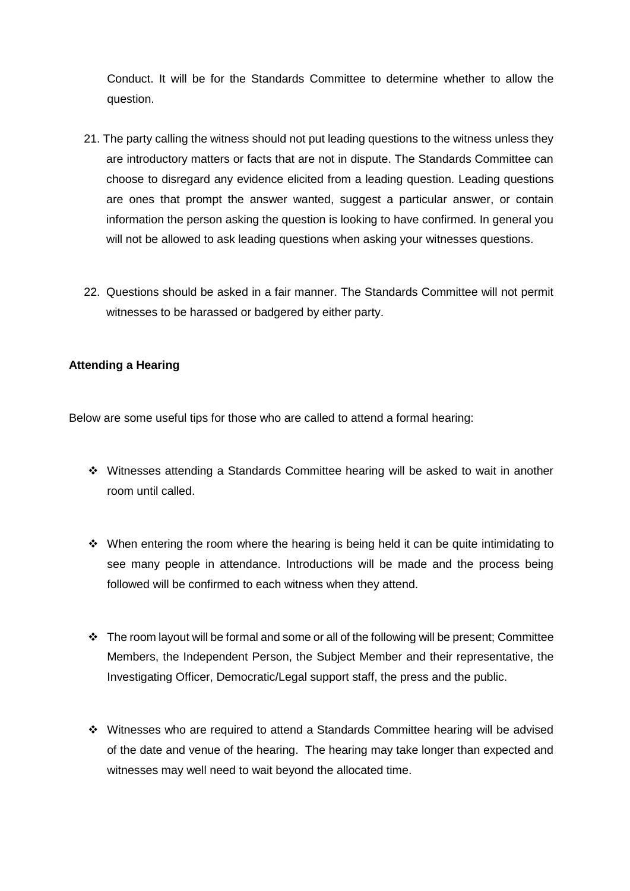Conduct. It will be for the Standards Committee to determine whether to allow the question.

- 21. The party calling the witness should not put leading questions to the witness unless they are introductory matters or facts that are not in dispute. The Standards Committee can choose to disregard any evidence elicited from a leading question. Leading questions are ones that prompt the answer wanted, suggest a particular answer, or contain information the person asking the question is looking to have confirmed. In general you will not be allowed to ask leading questions when asking your witnesses questions.
- 22. Questions should be asked in a fair manner. The Standards Committee will not permit witnesses to be harassed or badgered by either party.

# **Attending a Hearing**

Below are some useful tips for those who are called to attend a formal hearing:

- Witnesses attending a Standards Committee hearing will be asked to wait in another room until called.
- $\cdot$  When entering the room where the hearing is being held it can be quite intimidating to see many people in attendance. Introductions will be made and the process being followed will be confirmed to each witness when they attend.
- \* The room layout will be formal and some or all of the following will be present; Committee Members, the Independent Person, the Subject Member and their representative, the Investigating Officer, Democratic/Legal support staff, the press and the public.
- Witnesses who are required to attend a Standards Committee hearing will be advised of the date and venue of the hearing. The hearing may take longer than expected and witnesses may well need to wait beyond the allocated time.